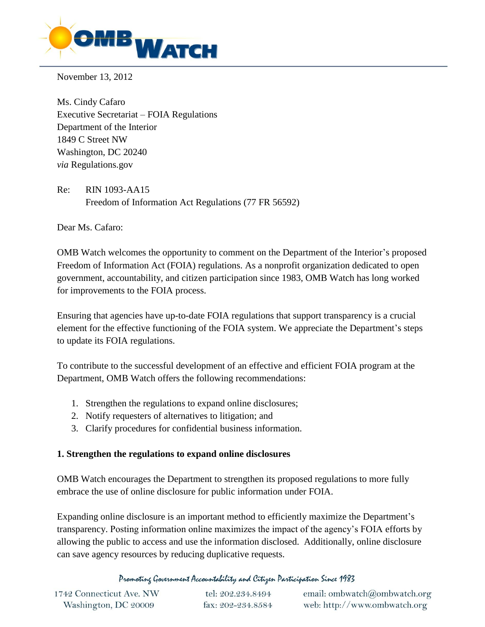

November 13, 2012

Ms. Cindy Cafaro Executive Secretariat – FOIA Regulations Department of the Interior 1849 C Street NW Washington, DC 20240 *via* Regulations.gov

Re: RIN 1093-AA15 Freedom of Information Act Regulations (77 FR 56592)

Dear Ms. Cafaro:

OMB Watch welcomes the opportunity to comment on the Department of the Interior's proposed Freedom of Information Act (FOIA) regulations. As a nonprofit organization dedicated to open government, accountability, and citizen participation since 1983, OMB Watch has long worked for improvements to the FOIA process.

Ensuring that agencies have up-to-date FOIA regulations that support transparency is a crucial element for the effective functioning of the FOIA system. We appreciate the Department's steps to update its FOIA regulations.

To contribute to the successful development of an effective and efficient FOIA program at the Department, OMB Watch offers the following recommendations:

- 1. Strengthen the regulations to expand online disclosures;
- 2. Notify requesters of alternatives to litigation; and
- 3. Clarify procedures for confidential business information.

## **1. Strengthen the regulations to expand online disclosures**

OMB Watch encourages the Department to strengthen its proposed regulations to more fully embrace the use of online disclosure for public information under FOIA.

Expanding online disclosure is an important method to efficiently maximize the Department's transparency. Posting information online maximizes the impact of the agency's FOIA efforts by allowing the public to access and use the information disclosed. Additionally, online disclosure can save agency resources by reducing duplicative requests.

Promoting Government Accountability and Citizen Participation Since 1983

| 1742 Connecticut Ave. NW | tel: 202.234.8494 | email: ombwatch@ombwatch.org |
|--------------------------|-------------------|------------------------------|
| Washington, DC 20009     | fax: 202-234.8584 | web: http://www.ombwatch.org |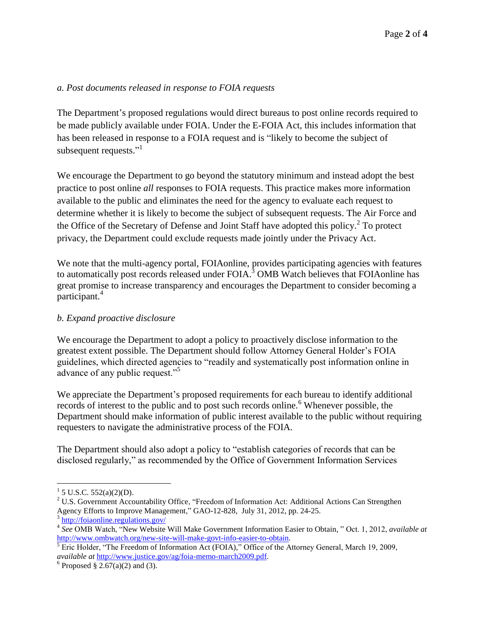#### *a. Post documents released in response to FOIA requests*

The Department's proposed regulations would direct bureaus to post online records required to be made publicly available under FOIA. Under the E-FOIA Act, this includes information that has been released in response to a FOIA request and is "likely to become the subject of subsequent requests."<sup>1</sup>

We encourage the Department to go beyond the statutory minimum and instead adopt the best practice to post online *all* responses to FOIA requests. This practice makes more information available to the public and eliminates the need for the agency to evaluate each request to determine whether it is likely to become the subject of subsequent requests. The Air Force and the Office of the Secretary of Defense and Joint Staff have adopted this policy. $2$  To protect privacy, the Department could exclude requests made jointly under the Privacy Act.

We note that the multi-agency portal, FOIAonline, provides participating agencies with features to automatically post records released under FOIA.<sup>3</sup> OMB Watch believes that FOIAonline has great promise to increase transparency and encourages the Department to consider becoming a participant.<sup>4</sup>

## *b. Expand proactive disclosure*

We encourage the Department to adopt a policy to proactively disclose information to the greatest extent possible. The Department should follow Attorney General Holder's FOIA guidelines, which directed agencies to "readily and systematically post information online in advance of any public request."<sup>5</sup>

We appreciate the Department's proposed requirements for each bureau to identify additional records of interest to the public and to post such records online.<sup>6</sup> Whenever possible, the Department should make information of public interest available to the public without requiring requesters to navigate the administrative process of the FOIA.

The Department should also adopt a policy to "establish categories of records that can be disclosed regularly," as recommended by the Office of Government Information Services

 $\overline{a}$ 

 $1$  5 U.S.C. 552(a)(2)(D).

<sup>&</sup>lt;sup>2</sup> U.S. Government Accountability Office, "Freedom of Information Act: Additional Actions Can Strengthen Agency Efforts to Improve Management," GAO-12-828, July 31, 2012, pp. 24-25. 3 <http://foiaonline.regulations.gov/>

<sup>4</sup> *See* OMB Watch, "New Website Will Make Government Information Easier to Obtain, " Oct. 1, 2012, *available at*  [http://www.ombwatch.org/new-site-will-make-govt-info-easier-to-obtain.](http://www.ombwatch.org/new-site-will-make-govt-info-easier-to-obtain)

<sup>&</sup>lt;sup>5</sup> Eric Holder, "The Freedom of Information Act (FOIA)," Office of the Attorney General, March 19, 2009, *available at* [http://www.justice.gov/ag/foia-memo-march2009.pdf.](http://www.justice.gov/ag/foia-memo-march2009.pdf)

<sup>&</sup>lt;sup>6</sup> Proposed § 2.67(a)(2) and (3).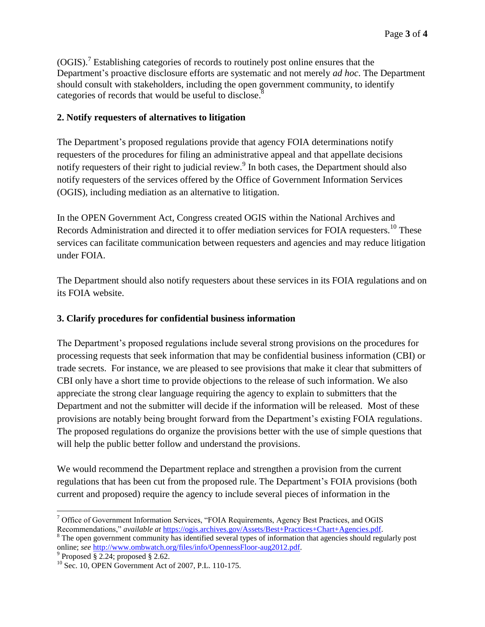$(OGIS)<sup>7</sup>$  Establishing categories of records to routinely post online ensures that the Department's proactive disclosure efforts are systematic and not merely *ad hoc*. The Department should consult with stakeholders, including the open government community, to identify categories of records that would be useful to disclose.<sup>8</sup>

## **2. Notify requesters of alternatives to litigation**

The Department's proposed regulations provide that agency FOIA determinations notify requesters of the procedures for filing an administrative appeal and that appellate decisions notify requesters of their right to judicial review.<sup>9</sup> In both cases, the Department should also notify requesters of the services offered by the Office of Government Information Services (OGIS), including mediation as an alternative to litigation.

In the OPEN Government Act, Congress created OGIS within the National Archives and Records Administration and directed it to offer mediation services for FOIA requesters.<sup>10</sup> These services can facilitate communication between requesters and agencies and may reduce litigation under FOIA.

The Department should also notify requesters about these services in its FOIA regulations and on its FOIA website.

# **3. Clarify procedures for confidential business information**

The Department's proposed regulations include several strong provisions on the procedures for processing requests that seek information that may be confidential business information (CBI) or trade secrets. For instance, we are pleased to see provisions that make it clear that submitters of CBI only have a short time to provide objections to the release of such information. We also appreciate the strong clear language requiring the agency to explain to submitters that the Department and not the submitter will decide if the information will be released. Most of these provisions are notably being brought forward from the Department's existing FOIA regulations. The proposed regulations do organize the provisions better with the use of simple questions that will help the public better follow and understand the provisions.

We would recommend the Department replace and strengthen a provision from the current regulations that has been cut from the proposed rule. The Department's FOIA provisions (both current and proposed) require the agency to include several pieces of information in the

 $\overline{a}$ <sup>7</sup> Office of Government Information Services, "FOIA Requirements, Agency Best Practices, and OGIS Recommendations," *available at* [https://ogis.archives.gov/Assets/Best+Practices+Chart+Agencies.pdf.](https://ogis.archives.gov/Assets/Best+Practices+Chart+Agencies.pdf)

<sup>&</sup>lt;sup>8</sup> The open government community has identified several types of information that agencies should regularly post online; *see* [http://www.ombwatch.org/files/info/OpennessFloor-aug2012.pdf.](http://www.ombwatch.org/files/info/OpennessFloor-aug2012.pdf)<br><sup>9</sup> Proposed § 2.24; proposed § 2.62.

 $10$  Sec. 10, OPEN Government Act of 2007, P.L. 110-175.